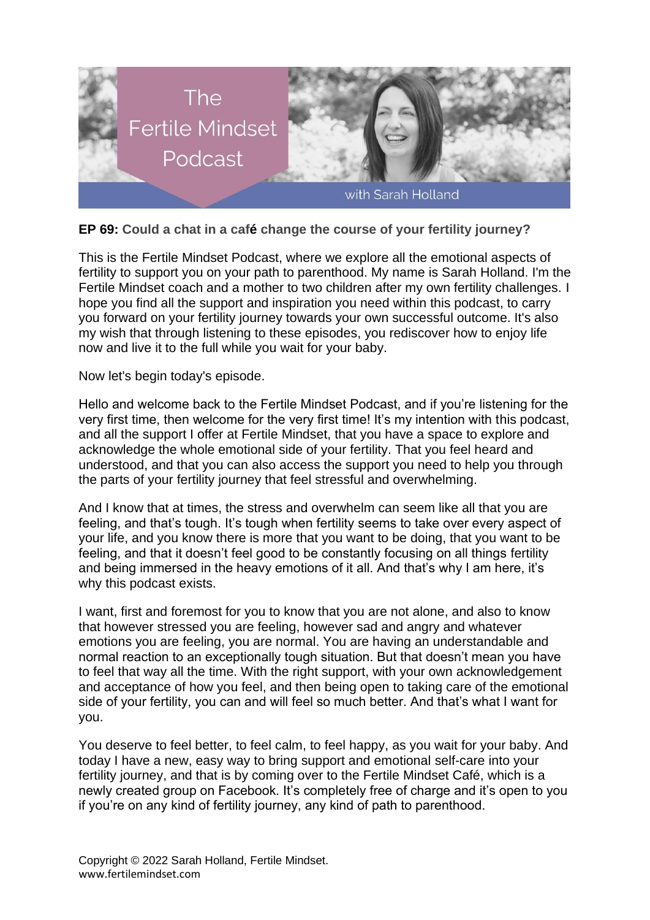

## **EP 69: Could a chat in a café change the course of your fertility journey?**

This is the Fertile Mindset Podcast, where we explore all the emotional aspects of fertility to support you on your path to parenthood. My name is Sarah Holland. I'm the Fertile Mindset coach and a mother to two children after my own fertility challenges. I hope you find all the support and inspiration you need within this podcast, to carry you forward on your fertility journey towards your own successful outcome. It's also my wish that through listening to these episodes, you rediscover how to enjoy life now and live it to the full while you wait for your baby.

Now let's begin today's episode.

Hello and welcome back to the Fertile Mindset Podcast, and if you're listening for the very first time, then welcome for the very first time! It's my intention with this podcast, and all the support I offer at Fertile Mindset, that you have a space to explore and acknowledge the whole emotional side of your fertility. That you feel heard and understood, and that you can also access the support you need to help you through the parts of your fertility journey that feel stressful and overwhelming.

And I know that at times, the stress and overwhelm can seem like all that you are feeling, and that's tough. It's tough when fertility seems to take over every aspect of your life, and you know there is more that you want to be doing, that you want to be feeling, and that it doesn't feel good to be constantly focusing on all things fertility and being immersed in the heavy emotions of it all. And that's why I am here, it's why this podcast exists.

I want, first and foremost for you to know that you are not alone, and also to know that however stressed you are feeling, however sad and angry and whatever emotions you are feeling, you are normal. You are having an understandable and normal reaction to an exceptionally tough situation. But that doesn't mean you have to feel that way all the time. With the right support, with your own acknowledgement and acceptance of how you feel, and then being open to taking care of the emotional side of your fertility, you can and will feel so much better. And that's what I want for you.

You deserve to feel better, to feel calm, to feel happy, as you wait for your baby. And today I have a new, easy way to bring support and emotional self-care into your fertility journey, and that is by coming over to the Fertile Mindset Café, which is a newly created group on Facebook. It's completely free of charge and it's open to you if you're on any kind of fertility journey, any kind of path to parenthood.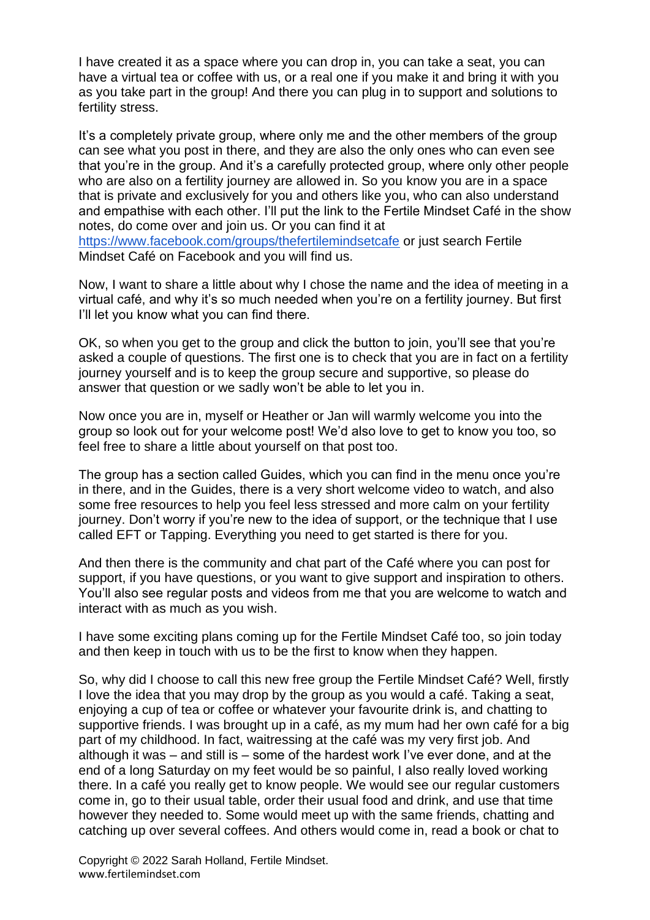I have created it as a space where you can drop in, you can take a seat, you can have a virtual tea or coffee with us, or a real one if you make it and bring it with you as you take part in the group! And there you can plug in to support and solutions to fertility stress.

It's a completely private group, where only me and the other members of the group can see what you post in there, and they are also the only ones who can even see that you're in the group. And it's a carefully protected group, where only other people who are also on a fertility journey are allowed in. So you know you are in a space that is private and exclusively for you and others like you, who can also understand and empathise with each other. I'll put the link to the Fertile Mindset Café in the show notes, do come over and join us. Or you can find it at <https://www.facebook.com/groups/thefertilemindsetcafe> or just search Fertile Mindset Café on Facebook and you will find us.

Now, I want to share a little about why I chose the name and the idea of meeting in a virtual café, and why it's so much needed when you're on a fertility journey. But first I'll let you know what you can find there.

OK, so when you get to the group and click the button to join, you'll see that you're asked a couple of questions. The first one is to check that you are in fact on a fertility journey yourself and is to keep the group secure and supportive, so please do answer that question or we sadly won't be able to let you in.

Now once you are in, myself or Heather or Jan will warmly welcome you into the group so look out for your welcome post! We'd also love to get to know you too, so feel free to share a little about yourself on that post too.

The group has a section called Guides, which you can find in the menu once you're in there, and in the Guides, there is a very short welcome video to watch, and also some free resources to help you feel less stressed and more calm on your fertility journey. Don't worry if you're new to the idea of support, or the technique that I use called EFT or Tapping. Everything you need to get started is there for you.

And then there is the community and chat part of the Café where you can post for support, if you have questions, or you want to give support and inspiration to others. You'll also see regular posts and videos from me that you are welcome to watch and interact with as much as you wish.

I have some exciting plans coming up for the Fertile Mindset Café too, so join today and then keep in touch with us to be the first to know when they happen.

So, why did I choose to call this new free group the Fertile Mindset Café? Well, firstly I love the idea that you may drop by the group as you would a café. Taking a seat, enjoying a cup of tea or coffee or whatever your favourite drink is, and chatting to supportive friends. I was brought up in a café, as my mum had her own café for a big part of my childhood. In fact, waitressing at the café was my very first job. And although it was – and still is – some of the hardest work I've ever done, and at the end of a long Saturday on my feet would be so painful, I also really loved working there. In a café you really get to know people. We would see our regular customers come in, go to their usual table, order their usual food and drink, and use that time however they needed to. Some would meet up with the same friends, chatting and catching up over several coffees. And others would come in, read a book or chat to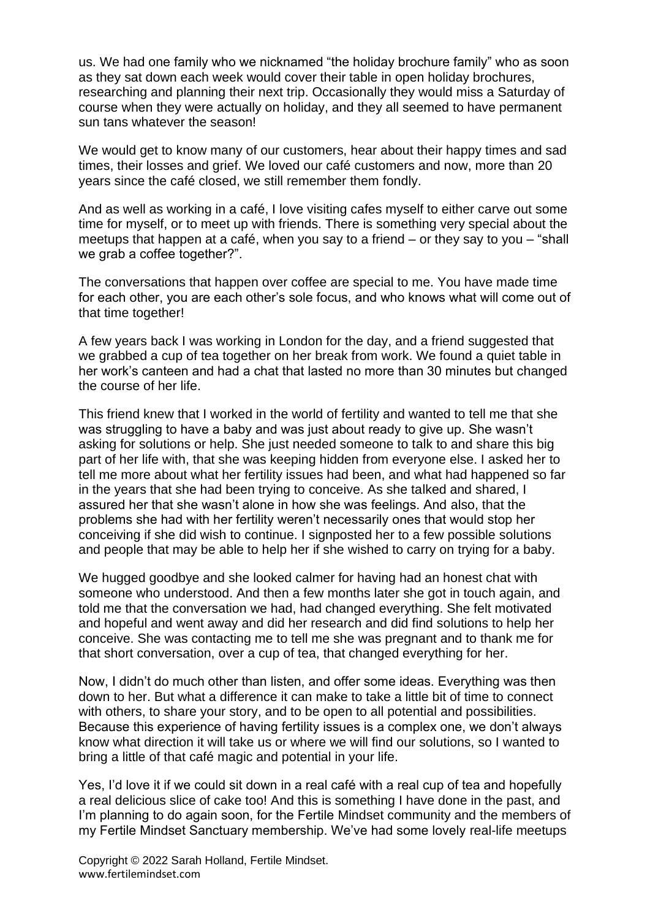us. We had one family who we nicknamed "the holiday brochure family" who as soon as they sat down each week would cover their table in open holiday brochures, researching and planning their next trip. Occasionally they would miss a Saturday of course when they were actually on holiday, and they all seemed to have permanent sun tans whatever the season!

We would get to know many of our customers, hear about their happy times and sad times, their losses and grief. We loved our café customers and now, more than 20 years since the café closed, we still remember them fondly.

And as well as working in a café, I love visiting cafes myself to either carve out some time for myself, or to meet up with friends. There is something very special about the meetups that happen at a café, when you say to a friend – or they say to you – "shall we grab a coffee together?".

The conversations that happen over coffee are special to me. You have made time for each other, you are each other's sole focus, and who knows what will come out of that time together!

A few years back I was working in London for the day, and a friend suggested that we grabbed a cup of tea together on her break from work. We found a quiet table in her work's canteen and had a chat that lasted no more than 30 minutes but changed the course of her life.

This friend knew that I worked in the world of fertility and wanted to tell me that she was struggling to have a baby and was just about ready to give up. She wasn't asking for solutions or help. She just needed someone to talk to and share this big part of her life with, that she was keeping hidden from everyone else. I asked her to tell me more about what her fertility issues had been, and what had happened so far in the years that she had been trying to conceive. As she talked and shared, I assured her that she wasn't alone in how she was feelings. And also, that the problems she had with her fertility weren't necessarily ones that would stop her conceiving if she did wish to continue. I signposted her to a few possible solutions and people that may be able to help her if she wished to carry on trying for a baby.

We hugged goodbye and she looked calmer for having had an honest chat with someone who understood. And then a few months later she got in touch again, and told me that the conversation we had, had changed everything. She felt motivated and hopeful and went away and did her research and did find solutions to help her conceive. She was contacting me to tell me she was pregnant and to thank me for that short conversation, over a cup of tea, that changed everything for her.

Now, I didn't do much other than listen, and offer some ideas. Everything was then down to her. But what a difference it can make to take a little bit of time to connect with others, to share your story, and to be open to all potential and possibilities. Because this experience of having fertility issues is a complex one, we don't always know what direction it will take us or where we will find our solutions, so I wanted to bring a little of that café magic and potential in your life.

Yes, I'd love it if we could sit down in a real café with a real cup of tea and hopefully a real delicious slice of cake too! And this is something I have done in the past, and I'm planning to do again soon, for the Fertile Mindset community and the members of my Fertile Mindset Sanctuary membership. We've had some lovely real-life meetups